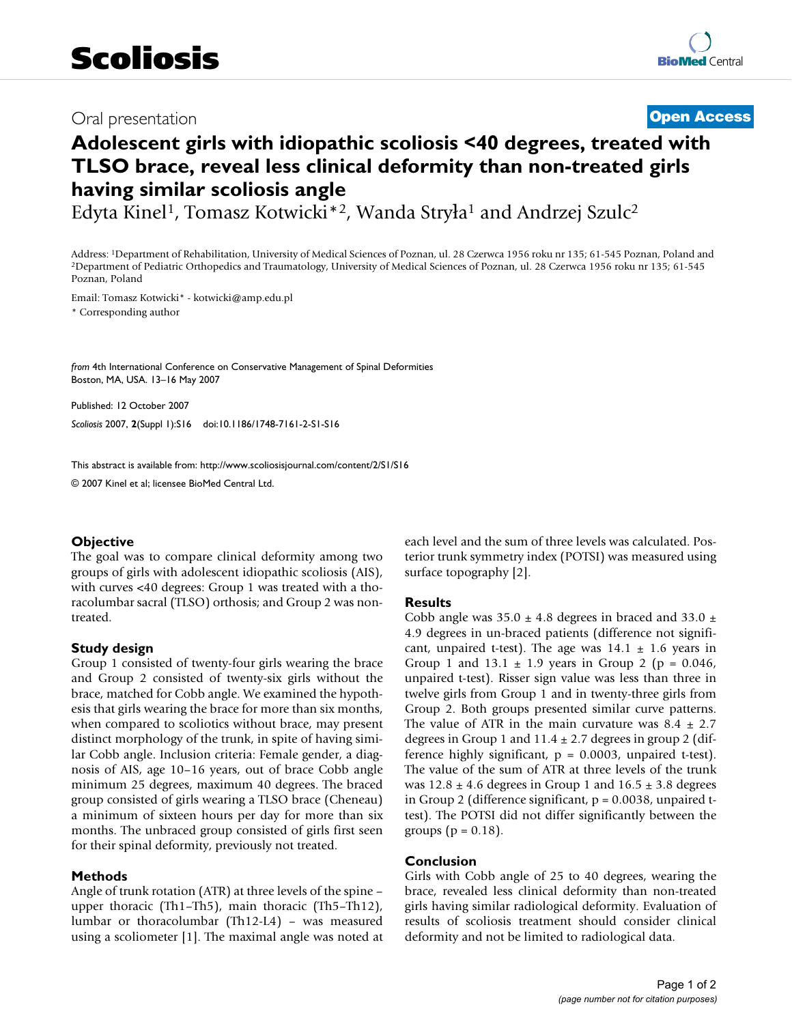## Oral presentation **[Open Access](http://www.biomedcentral.com/info/about/charter/)**

# **Adolescent girls with idiopathic scoliosis <40 degrees, treated with TLSO brace, reveal less clinical deformity than non-treated girls having similar scoliosis angle**

Edyta Kinel<sup>1</sup>, Tomasz Kotwicki\*<sup>2</sup>, Wanda Stryła<sup>1</sup> and Andrzej Szulc<sup>2</sup>

Address: <sup>1</sup>Department of Rehabilitation, University of Medical Sciences of Poznan, ul. 28 Czerwca 1956 roku nr 135; 61-545 Poznan, Poland and <sup>2</sup>Department of Pediatric Orthopedics and Traumatology, University of Medical Poznan, Poland

Email: Tomasz Kotwicki\* - kotwicki@amp.edu.pl

\* Corresponding author

*from* 4th International Conference on Conservative Management of Spinal Deformities Boston, MA, USA. 13–16 May 2007

Published: 12 October 2007 *Scoliosis* 2007, **2**(Suppl 1):S16 doi:10.1186/1748-7161-2-S1-S16

[This abstract is available from: http://www.scoliosisjournal.com/content/2/S1/S16](http://www.scoliosisjournal.com/content/2/S1/S16)

© 2007 Kinel et al; licensee BioMed Central Ltd.

### **Objective**

The goal was to compare clinical deformity among two groups of girls with adolescent idiopathic scoliosis (AIS), with curves <40 degrees: Group 1 was treated with a thoracolumbar sacral (TLSO) orthosis; and Group 2 was nontreated.

### **Study design**

Group 1 consisted of twenty-four girls wearing the brace and Group 2 consisted of twenty-six girls without the brace, matched for Cobb angle. We examined the hypothesis that girls wearing the brace for more than six months, when compared to scoliotics without brace, may present distinct morphology of the trunk, in spite of having similar Cobb angle. Inclusion criteria: Female gender, a diagnosis of AIS, age 10–16 years, out of brace Cobb angle minimum 25 degrees, maximum 40 degrees. The braced group consisted of girls wearing a TLSO brace (Cheneau) a minimum of sixteen hours per day for more than six months. The unbraced group consisted of girls first seen for their spinal deformity, previously not treated.

#### **Methods**

Angle of trunk rotation (ATR) at three levels of the spine – upper thoracic (Th1–Th5), main thoracic (Th5–Th12), lumbar or thoracolumbar (Th12-L4) – was measured using a scoliometer [1]. The maximal angle was noted at each level and the sum of three levels was calculated. Posterior trunk symmetry index (POTSI) was measured using surface topography [2].

#### **Results**

Cobb angle was  $35.0 \pm 4.8$  degrees in braced and  $33.0 \pm 1.8$ 4.9 degrees in un-braced patients (difference not significant, unpaired t-test). The age was  $14.1 \pm 1.6$  years in Group 1 and  $13.1 \pm 1.9$  years in Group 2 (p = 0.046, unpaired t-test). Risser sign value was less than three in twelve girls from Group 1 and in twenty-three girls from Group 2. Both groups presented similar curve patterns. The value of ATR in the main curvature was  $8.4 \pm 2.7$ degrees in Group 1 and  $11.4 \pm 2.7$  degrees in group 2 (difference highly significant,  $p = 0.0003$ , unpaired t-test). The value of the sum of ATR at three levels of the trunk was  $12.8 \pm 4.6$  degrees in Group 1 and  $16.5 \pm 3.8$  degrees in Group 2 (difference significant,  $p = 0.0038$ , unpaired ttest). The POTSI did not differ significantly between the groups ( $p = 0.18$ ).

### **Conclusion**

Girls with Cobb angle of 25 to 40 degrees, wearing the brace, revealed less clinical deformity than non-treated girls having similar radiological deformity. Evaluation of results of scoliosis treatment should consider clinical deformity and not be limited to radiological data.